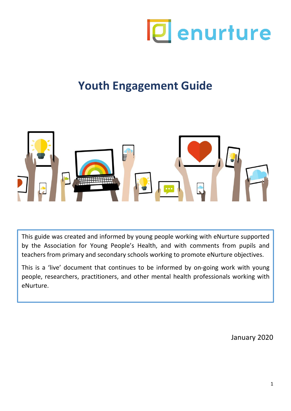

# **Youth Engagement Guide**



This guide was created and informed by young people working with eNurture supported by the Association for Young People's Health, and with comments from pupils and teachers from primary and secondary schools working to promote eNurture objectives.

This is a 'live' document that continues to be informed by on-going work with young people, researchers, practitioners, and other mental health professionals working with eNurture.

January 2020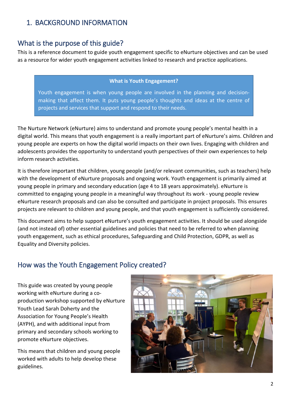## 1. BACKGROUND INFORMATION

## What is the purpose of this guide?

This is a reference document to guide youth engagement specific to eNurture objectives and can be used as a resource for wider youth engagement activities linked to research and practice applications.

#### **What is Youth Engagement?**

Youth engagement is when young people are involved in the planning and decisionmaking that affect them. It puts young people's thoughts and ideas at the centre of projects and services that support and respond to their needs.

The Nurture Network (eNurture) aims to understand and promote young people's mental health in a digital world. This means that youth engagement is a really important part of eNurture's aims. Children and young people are experts on how the digital world impacts on their own lives. Engaging with children and adolescents provides the opportunity to understand youth perspectives of their own experiences to help inform research activities.

It is therefore important that children, young people (and/or relevant communities, such as teachers) help with the development of eNurture proposals and ongoing work. Youth engagement is primarily aimed at young people in primary and secondary education (age 4 to 18 years approximately). eNurture is committed to engaging young people in a meaningful way throughout its work - young people review eNurture research proposals and can also be consulted and participate in project proposals. This ensures projects are relevant to children and young people, and that youth engagement is sufficiently considered.

This document aims to help support eNurture's youth engagement activities. It should be used alongside (and not instead of) other essential guidelines and policies that need to be referred to when planning youth engagement, such as ethical procedures, Safeguarding and Child Protection, GDPR, as well as Equality and Diversity policies.

## How was the Youth Engagement Policy created?

This guide was created by young people working with eNurture during a coproduction workshop supported by eNurture Youth Lead Sarah Doherty and the Association for Young People's Health (AYPH), and with additional input from primary and secondary schools working to promote eNurture objectives.

This means that children and young people worked with adults to help develop these guidelines.

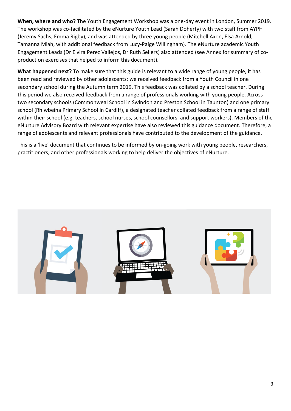**When, where and who?** The Youth Engagement Workshop was a one-day event in London, Summer 2019. The workshop was co-facilitated by the eNurture Youth Lead (Sarah Doherty) with two staff from AYPH (Jeremy Sachs, Emma Rigby), and was attended by three young people (Mitchell Axon, Elsa Arnold, Tamanna Miah, with additional feedback from Lucy-Paige Willingham). The eNurture academic Youth Engagement Leads (Dr Elvira Perez Vallejos, Dr Ruth Sellers) also attended (see Annex for summary of coproduction exercises that helped to inform this document).

**What happened next?** To make sure that this guide is relevant to a wide range of young people, it has been read and reviewed by other adolescents: we received feedback from a Youth Council in one secondary school during the Autumn term 2019. This feedback was collated by a school teacher. During this period we also received feedback from a range of professionals working with young people. Across two secondary schools (Commonweal School in Swindon and Preston School in Taunton) and one primary school (Rhiwbeina Primary School in Cardiff), a designated teacher collated feedback from a range of staff within their school (e.g. teachers, school nurses, school counsellors, and support workers). Members of the eNurture Advisory Board with relevant expertise have also reviewed this guidance document. Therefore, a range of adolescents and relevant professionals have contributed to the development of the guidance.

This is a 'live' document that continues to be informed by on-going work with young people, researchers, practitioners, and other professionals working to help deliver the objectives of eNurture.

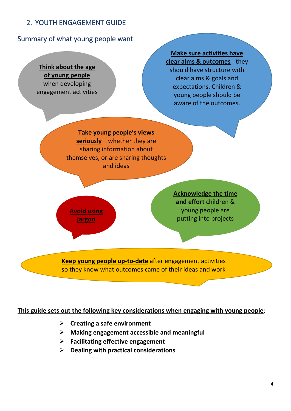# 2. YOUTH ENGAGEMENT GUIDE

## Summary of what young people want

**Think about the age of young people**  when developing engagement activities

**Make sure activities have clear aims & outcomes** - they should have structure with clear aims & goals and expectations. Children & young people should be aware of the outcomes.

**Take young people's views seriously** – whether they are sharing information about themselves, or are sharing thoughts and ideas

**Avoid using jargon**

**Acknowledge the time and effort** children & young people are putting into projects

**Keep young people up-to-date** after engagement activities so they know what outcomes came of their ideas and work

**This guide sets out the following key considerations when engaging with young people**:

- **Creating a safe environment**
- **Making engagement accessible and meaningful**
- **Facilitating effective engagement**
- **Dealing with practical considerations**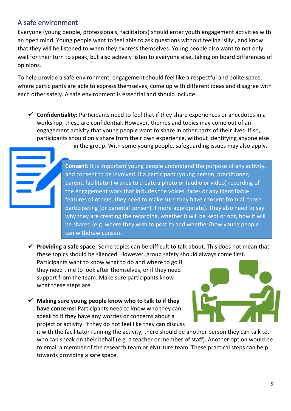# A safe environment

Everyone (young people, professionals, facilitators) should enter youth engagement activities with an open mind. Young people want to feel able to ask questions without feeling 'silly', and know that they will be listened to when they express themselves. Young people also want to not only wait for their turn to speak, but also actively listen to everyone else, taking on board differences of opinions.

To help provide a safe environment, engagement should feel like a respectful and polite space, where participants are able to express themselves, come up with different ideas and disagree with each other safely. A safe environment is essential and should include:

 **Confidentiality:** Participants need to feel that if they share experiences or anecdotes in a workshop, these are confidential. However, themes and topics may come out of an engagement activity that young people want to share in other parts of their lives. If so, participants should only share from their own experience, without identifying anyone else

in the group. With some young people, safeguarding issues may also apply.

**Consent:** It is important young people understand the purpose of any activity, and consent to be involved. If a participant (young person, practitioner, parent, facilitator) wishes to create a photo or (audio or video) recording of the engagement work that includes the voices, faces or any identifiable features of others, they need to make sure they have consent from all those participating (or parental consent if more appropriate). They also need to say why they are creating the recording, whether it will be kept or not, how it will be shared (e.g. where they wish to post it) and whether/how young people can withdraw consent.

 **Providing a safe space:** Some topics can be difficult to talk about. This does not mean that these topics should be silenced. However, group safety should always come first.

Participants want to know what to do and where to go if they need time to look after themselves, or if they need support from the team. Make sure participants know what these steps are.

 **Making sure young people know who to talk to if they have concerns:** Participants need to know who they can speak to if they have any worries or concerns about a project or activity. If they do not feel like they can discuss



it with the facilitator running the activity, there should be another person they can talk to, who can speak on their behalf (e.g. a teacher or member of staff). Another option would be to email a member of the research team or eNurture team. These practical steps can help towards providing a safe space.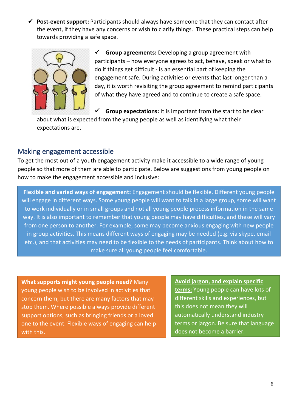**Post-event support:** Participants should always have someone that they can contact after the event, if they have any concerns or wish to clarify things.These practical steps can help towards providing a safe space.



 **Group agreements:** Developing a group agreement with participants – how everyone agrees to act, behave, speak or what to do if things get difficult - is an essential part of keeping the engagement safe. During activities or events that last longer than a day, it is worth revisiting the group agreement to remind participants of what they have agreed and to continue to create a safe space.

**Group expectations:** It is important from the start to be clear

about what is expected from the young people as well as identifying what their expectations are.

## Making engagement accessible

To get the most out of a youth engagement activity make it accessible to a wide range of young people so that more of them are able to participate. Below are suggestions from young people on how to make the engagement accessible and inclusive:

**Flexible and varied ways of engagement:** Engagement should be flexible. Different young people will engage in different ways. Some young people will want to talk in a large group, some will want to work individually or in small groups and not all young people process information in the same way. It is also important to remember that young people may have difficulties, and these will vary from one person to another. For example, some may become anxious engaging with new people in group activities. This means different ways of engaging may be needed (e.g. via skype, email etc.), and that activities may need to be flexible to the needs of participants. Think about how to make sure all young people feel comfortable.

**What supports might young people need?** Many young people wish to be involved in activities that concern them, but there are many factors that may stop them. Where possible always provide different support options, such as bringing friends or a loved one to the event. Flexible ways of engaging can help with this.

**Avoid jargon, and explain specific terms:** Young people can have lots of different skills and experiences, but this does not mean they will automatically understand industry terms or jargon. Be sure that language does not become a barrier.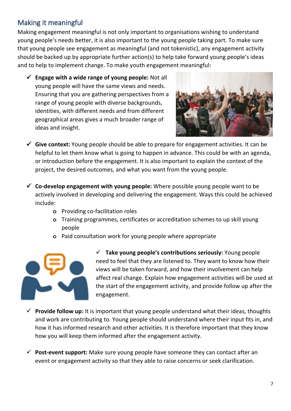# Making it meaningful

Making engagement meaningful is not only important to organisations wishing to understand young people's needs better, it is also important to the young people taking part. To make sure that young people see engagement as meaningful (and not tokenistic), any engagement activity should be backed up by appropriate further action(s) to help take forward young people's ideas and to help to implement change. To make youth engagement meaningful:

 **Engage with a wide range of young people:** Not all young people will have the same views and needs. Ensuring that you are gathering perspectives from a range of young people with diverse backgrounds, identities, with different needs and from different geographical areas gives a much broader range of ideas and insight.



- **Give context:** Young people should be able to prepare for engagement activities. It can be helpful to let them know what is going to happen in advance. This could be with an agenda, or introduction before the engagement. It is also important to explain the context of the project, the desired outcomes, and what you want from the young people.
- **Co-develop engagement with young people:** Where possible young people want to be actively involved in developing and delivering the engagement. Ways this could be achieved include:
	- **o** Providing co-facilitation roles
	- **o** Training programmes, certificates or accreditation schemes to up skill young people
	- **o** Paid consultation work for young people where appropriate



 **Take young people's contributions seriously:** Young people need to feel that they are listened to. They want to know how their views will be taken forward, and how their involvement can help affect real change. Explain how engagement activities will be used at the start of the engagement activity, and provide follow up after the engagement.

- **Provide follow up:** It is important that young people understand what their ideas, thoughts and work are contributing to. Young people should understand where their input fits in, and how it has informed research and other activities. It is therefore important that they know how you will keep them informed after the engagement activity.
- **Post-event support:** Make sure young people have someone they can contact after an event or engagement activity so that they able to raise concerns or seek clarification.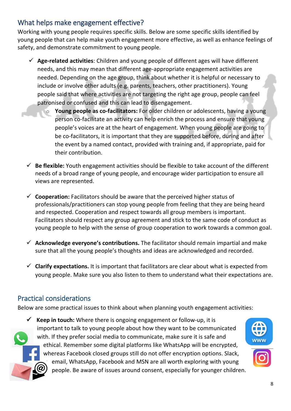# What helps make engagement effective?

Working with young people requires specific skills. Below are some specific skills identified by young people that can help make youth engagement more effective, as well as enhance feelings of safety, and demonstrate commitment to young people.

- **Age-related activities**: Children and young people of different ages will have different needs, and this may mean that different age-appropriate engagement activities are needed. Depending on the age group, think about whether it is helpful or necessary to include or involve other adults (e.g. parents, teachers, other practitioners). Young people said that where activities are not targeting the right age group, people can feel patronised or confused and this can lead to disengagement.
	- o **Young people as co-facilitators:** For older children or adolescents, having a young person co-facilitate an activity can help enrich the process and ensure that young people's voices are at the heart of engagement. When young people are going to be co-facilitators, it is important that they are supported before, during and after the event by a named contact, provided with training and, if appropriate, paid for their contribution.
- $\checkmark$  **Be flexible:** Youth engagement activities should be flexible to take account of the different needs of a broad range of young people, and encourage wider participation to ensure all views are represented.
- **Cooperation:** Facilitators should be aware that the perceived higher status of professionals/practitioners can stop young people from feeling that they are being heard and respected. Cooperation and respect towards all group members is important. Facilitators should respect any group agreement and stick to the same code of conduct as young people to help with the sense of group cooperation to work towards a common goal.
- **Acknowledge everyone's contributions.** The facilitator should remain impartial and make sure that all the young people's thoughts and ideas are acknowledged and recorded.
- $\checkmark$  **Clarify expectations.** It is important that facilitators are clear about what is expected from young people. Make sure you also listen to them to understand what their expectations are.

# Practical considerations

Below are some practical issues to think about when planning youth engagement activities:

 $\checkmark$  **Keep in touch:** Where there is ongoing engagement or follow-up, it is important to talk to young people about how they want to be communicated with. If they prefer social media to communicate, make sure it is safe and ethical. Remember some digital platforms like WhatsApp will be encrypted, whereas Facebook closed groups still do not offer encryption options. Slack, email, WhatsApp, Facebook and MSN are all worth exploring with young people. Be aware of issues around consent, especially for younger children.

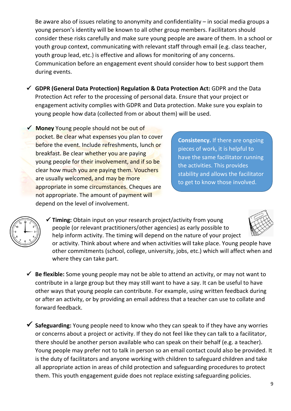Be aware also of issues relating to anonymity and confidentiality – in social media groups a young person's identity will be known to all other group members. Facilitators should consider these risks carefully and make sure young people are aware of them. In a school or youth group context, communicating with relevant staff through email (e.g. class teacher, youth group lead, etc.) is effective and allows for monitoring of any concerns. Communication before an engagement event should consider how to best support them during events.

- **GDPR (General Data Protection) Regulation & Data Protection Act:** GDPR and the Data Protection Act refer to the processing of personal data. Ensure that your project or engagement activity complies with GDPR and Data protection. Make sure you explain to young people how data (collected from or about them) will be used.
- **Money** Young people should not be out of pocket. Be clear what expenses you plan to cover before the event. Include refreshments, lunch or breakfast. Be clear whether you are paying young people for their involvement, and if so be clear how much you are paying them. Vouchers are usually welcomed, and may be more appropriate in some circumstances. Cheques are not appropriate. The amount of payment will depend on the level of involvement.

**Consistency.** If there are ongoing pieces of work, it is helpful to have the same facilitator running the activities. This provides stability and allows the facilitator to get to know those involved.



- **Timing:** Obtain input on your research project/activity from young people (or relevant practitioners/other agencies) as early possible to help inform activity. The timing will depend on the nature of your project or activity. Think about where and when activities will take place. Young people have other commitments (school, college, university, jobs, etc.) which will affect when and where they can take part.
- **Be flexible:** Some young people may not be able to attend an activity, or may not want to contribute in a large group but they may still want to have a say. It can be useful to have other ways that young people can contribute. For example, using written feedback during or after an activity, or by providing an email address that a teacher can use to collate and forward feedback.
- **Safeguarding:** Young people need to know who they can speak to if they have any worries or concerns about a project or activity. If they do not feel like they can talk to a facilitator, there should be another person available who can speak on their behalf (e.g. a teacher). Young people may prefer not to talk in person so an email contact could also be provided. It is the duty of facilitators and anyone working with children to safeguard children and take all appropriate action in areas of child protection and safeguarding procedures to protect them. This youth engagement guide does not replace existing safeguarding policies.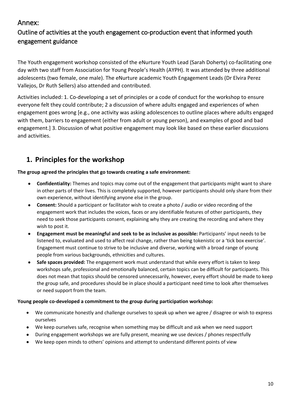## Annex:

# Outline of activities at the youth engagement co-production event that informed youth engagement guidance

The Youth engagement workshop consisted of the eNurture Youth Lead (Sarah Doherty) co-facilitating one day with two staff from Association for Young People's Health (AYPH). It was attended by three additional adolescents (two female, one male). The eNurture academic Youth Engagement Leads (Dr Elvira Perez Vallejos, Dr Ruth Sellers) also attended and contributed.

Activities included: 1. Co-developing a set of principles or a code of conduct for the workshop to ensure everyone felt they could contribute; 2 a discussion of where adults engaged and experiences of when engagement goes wrong [e.g., one activity was asking adolescences to outline places where adults engaged with them, barriers to engagement (either from adult or young person), and examples of good and bad engagement.] 3. Discussion of what positive engagement may look like based on these earlier discussions and activities.

# **1. Principles for the workshop**

**The group agreed the principles that go towards creating a safe environment:**

- **Confidentiality:** Themes and topics may come out of the engagement that participants might want to share in other parts of their lives. This is completely supported, however participants should only share from their own experience, without identifying anyone else in the group.
- **Consent:** Should a participant or facilitator wish to create a photo / audio or video recording of the engagement work that includes the voices, faces or any identifiable features of other participants, they need to seek those participants consent, explaining why they are creating the recording and where they wish to post it.
- **Engagement must be meaningful and seek to be as inclusive as possible:** Participants' input needs to be listened to, evaluated and used to affect real change, rather than being tokenistic or a 'tick box exercise'. Engagement must continue to strive to be inclusive and diverse, working with a broad range of young people from various backgrounds, ethnicities and cultures.
- **Safe spaces provided:** The engagement work must understand that while every effort is taken to keep workshops safe, professional and emotionally balanced, certain topics can be difficult for participants. This does not mean that topics should be censored unnecessarily, however, every effort should be made to keep the group safe, and procedures should be in place should a participant need time to look after themselves or need support from the team.

#### **Young people co-developed a commitment to the group during participation workshop:**

- We communicate honestly and challenge ourselves to speak up when we agree / disagree or wish to express ourselves
- We keep ourselves safe, recognise when something may be difficult and ask when we need support
- During engagement workshops we are fully present, meaning we use devices / phones respectfully
- We keep open minds to others' opinions and attempt to understand different points of view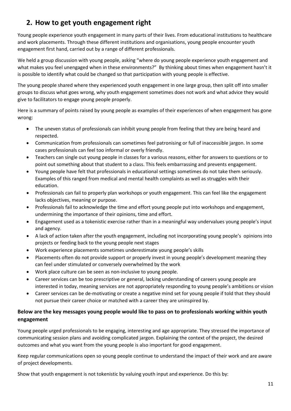# **2. How to get youth engagement right**

Young people experience youth engagement in many parts of their lives. From educational institutions to healthcare and work placements. Through these different institutions and organisations, young people encounter youth engagement first hand, carried out by a range of different professionals.

We held a group discussion with young people, asking "where do young people experience youth engagement and what makes you feel unengaged when in these environments?" By thinking about times when engagement hasn't it is possible to identify what could be changed so that participation with young people is effective.

The young people shared where they experienced youth engagement in one large group, then split off into smaller groups to discuss what goes wrong, why youth engagement sometimes does not work and what advice they would give to facilitators to engage young people properly.

Here is a summary of points raised by young people as examples of their experiences of when engagement has gone wrong:

- The uneven status of professionals can inhibit young people from feeling that they are being heard and respected.
- Communication from professionals can sometimes feel patronising or full of inaccessible jargon. In some cases professionals can feel too informal or overly friendly.
- Teachers can single out young people in classes for a various reasons, either for answers to questions or to point out something about that student to a class. This feels embarrassing and prevents engagement.
- Young people have felt that professionals in educational settings sometimes do not take them seriously. Examples of this ranged from medical and mental health complaints as well as struggles with their education.
- Professionals can fail to properly plan workshops or youth engagement. This can feel like the engagement lacks objectives, meaning or purpose.
- Professionals fail to acknowledge the time and effort young people put into workshops and engagement, undermining the importance of their opinions, time and effort.
- Engagement used as a tokenistic exercise rather than in a meaningful way undervalues young people's input and agency.
- A lack of action taken after the youth engagement, including not incorporating young people's opinions into projects or feeding back to the young people next stages
- Work experience placements sometimes underestimate young people's skills
- Placements often do not provide support or properly invest in young people's development meaning they can feel under stimulated or conversely overwhelmed by the work
- Work place culture can be seen as non-inclusive to young people.
- Career services can be too prescriptive or general, lacking understanding of careers young people are interested in today, meaning services are not appropriately responding to young people's ambitions or vision
- Career services can be de-motivating or create a negative mind set for young people if told that they should not pursue their career choice or matched with a career they are uninspired by.

#### **Below are the key messages young people would like to pass on to professionals working within youth engagement**

Young people urged professionals to be engaging, interesting and age appropriate. They stressed the importance of communicating session plans and avoiding complicated jargon. Explaining the context of the project, the desired outcomes and what you want from the young people is also important for good engagement.

Keep regular communications open so young people continue to understand the impact of their work and are aware of project developments.

Show that youth engagement is not tokenistic by valuing youth input and experience. Do this by: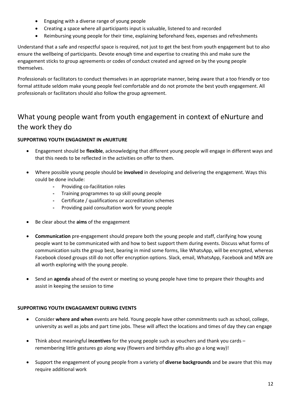- Engaging with a diverse range of young people
- Creating a space where all participants input is valuable, listened to and recorded
- Reimbursing young people for their time, explaining beforehand fees, expenses and refreshments

Understand that a safe and respectful space is required, not just to get the best from youth engagement but to also ensure the wellbeing of participants. Devote enough time and expertise to creating this and make sure the engagement sticks to group agreements or codes of conduct created and agreed on by the young people themselves.

Professionals or facilitators to conduct themselves in an appropriate manner, being aware that a too friendly or too formal attitude seldom make young people feel comfortable and do not promote the best youth engagement. All professionals or facilitators should also follow the group agreement.

# What young people want from youth engagement in context of eNurture and the work they do

#### **SUPPORTING YOUTH ENGAGMENT IN eNURTURE**

- Engagement should be **flexible**, acknowledging that different young people will engage in different ways and that this needs to be reflected in the activities on offer to them.
- Where possible young people should be **involved** in developing and delivering the engagement. Ways this could be done include:
	- **-** Providing co-facilitation roles
	- **-** Training programmes to up skill young people
	- **-** Certificate / qualifications or accreditation schemes
	- **-** Providing paid consultation work for young people
- Be clear about the **aims** of the engagement
- **Communication** pre-engagement should prepare both the young people and staff, clarifying how young people want to be communicated with and how to best support them during events. Discuss what forms of communication suits the group best, bearing in mind some forms, like WhatsApp, will be encrypted, whereas Facebook closed groups still do not offer encryption options. Slack, email, WhatsApp, Facebook and MSN are all worth exploring with the young people.
- Send an **agenda** ahead of the event or meeting so young people have time to prepare their thoughts and assist in keeping the session to time

#### **SUPPORTING YOUTH ENGAGAMENT DURING EVENTS**

- Consider **where and when** events are held. Young people have other commitments such as school, college, university as well as jobs and part time jobs. These will affect the locations and times of day they can engage
- Think about meaningful **incentives** for the young people such as vouchers and thank you cards remembering little gestures go along way (flowers and birthday gifts also go a long way)!
- Support the engagement of young people from a variety of **diverse backgrounds** and be aware that this may require additional work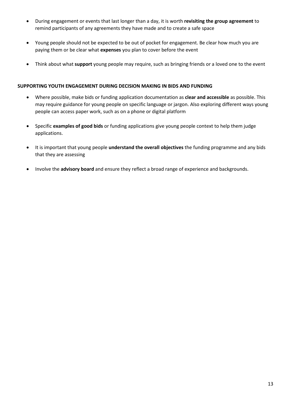- During engagement or events that last longer than a day, it is worth **revisiting the group agreement** to remind participants of any agreements they have made and to create a safe space
- Young people should not be expected to be out of pocket for engagement. Be clear how much you are paying them or be clear what **expenses** you plan to cover before the event
- Think about what **support** young people may require, such as bringing friends or a loved one to the event

#### **SUPPORTING YOUTH ENGAGEMENT DURING DECISION MAKING IN BIDS AND FUNDING**

- Where possible, make bids or funding application documentation as **clear and accessible** as possible. This may require guidance for young people on specific language or jargon. Also exploring different ways young people can access paper work, such as on a phone or digital platform
- Specific **examples of good bids** or funding applications give young people context to help them judge applications.
- It is important that young people **understand the overall objectives** the funding programme and any bids that they are assessing
- Involve the **advisory board** and ensure they reflect a broad range of experience and backgrounds.